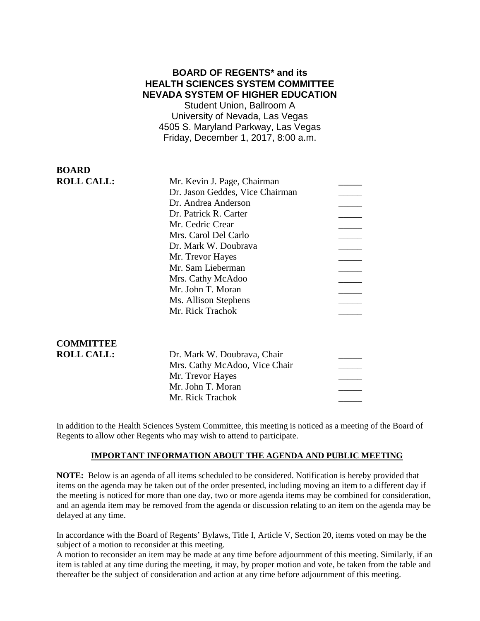# **BOARD OF REGENTS\* and its HEALTH SCIENCES SYSTEM COMMITTEE NEVADA SYSTEM OF HIGHER EDUCATION**

Student Union, Ballroom A University of Nevada, Las Vegas 4505 S. Maryland Parkway, Las Vegas Friday, December 1, 2017, 8:00 a.m.

# **BOARD ROLL CALL:**

| Mr. Kevin J. Page, Chairman     |  |
|---------------------------------|--|
| Dr. Jason Geddes, Vice Chairman |  |
| Dr. Andrea Anderson             |  |
| Dr. Patrick R. Carter           |  |
| Mr. Cedric Crear                |  |
| Mrs. Carol Del Carlo            |  |
| Dr. Mark W. Doubrava            |  |
| Mr. Trevor Hayes                |  |
| Mr. Sam Lieberman               |  |
| Mrs. Cathy McAdoo               |  |
| Mr. John T. Moran               |  |
| Ms. Allison Stephens            |  |
| Mr. Rick Trachok                |  |
|                                 |  |
|                                 |  |

# **COMMITTEE**

| COMMITTEE         |                               |  |
|-------------------|-------------------------------|--|
| <b>ROLL CALL:</b> | Dr. Mark W. Doubrava, Chair   |  |
|                   | Mrs. Cathy McAdoo, Vice Chair |  |
|                   | Mr. Trevor Hayes              |  |
|                   | Mr. John T. Moran             |  |
|                   | Mr. Rick Trachok              |  |
|                   |                               |  |

In addition to the Health Sciences System Committee, this meeting is noticed as a meeting of the Board of Regents to allow other Regents who may wish to attend to participate.

### **IMPORTANT INFORMATION ABOUT THE AGENDA AND PUBLIC MEETING**

**NOTE:** Below is an agenda of all items scheduled to be considered. Notification is hereby provided that items on the agenda may be taken out of the order presented, including moving an item to a different day if the meeting is noticed for more than one day, two or more agenda items may be combined for consideration, and an agenda item may be removed from the agenda or discussion relating to an item on the agenda may be delayed at any time.

In accordance with the Board of Regents' Bylaws, Title I, Article V, Section 20, items voted on may be the subject of a motion to reconsider at this meeting.

A motion to reconsider an item may be made at any time before adjournment of this meeting. Similarly, if an item is tabled at any time during the meeting, it may, by proper motion and vote, be taken from the table and thereafter be the subject of consideration and action at any time before adjournment of this meeting.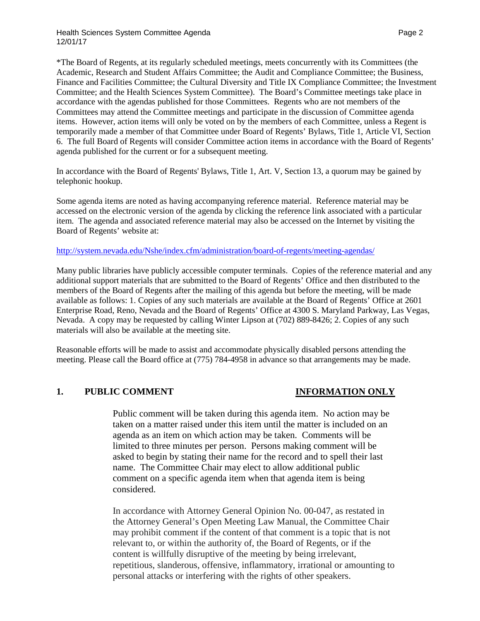\*The Board of Regents, at its regularly scheduled meetings, meets concurrently with its Committees (the Academic, Research and Student Affairs Committee; the Audit and Compliance Committee; the Business, Finance and Facilities Committee; the Cultural Diversity and Title IX Compliance Committee; the Investment Committee; and the Health Sciences System Committee). The Board's Committee meetings take place in accordance with the agendas published for those Committees. Regents who are not members of the Committees may attend the Committee meetings and participate in the discussion of Committee agenda items. However, action items will only be voted on by the members of each Committee, unless a Regent is temporarily made a member of that Committee under Board of Regents' Bylaws, Title 1, Article VI, Section 6. The full Board of Regents will consider Committee action items in accordance with the Board of Regents' agenda published for the current or for a subsequent meeting.

In accordance with the Board of Regents' Bylaws, Title 1, Art. V, Section 13, a quorum may be gained by telephonic hookup.

Some agenda items are noted as having accompanying reference material. Reference material may be accessed on the electronic version of the agenda by clicking the reference link associated with a particular item. The agenda and associated reference material may also be accessed on the Internet by visiting the Board of Regents' website at:

### <http://system.nevada.edu/Nshe/index.cfm/administration/board-of-regents/meeting-agendas/>

Many public libraries have publicly accessible computer terminals. Copies of the reference material and any additional support materials that are submitted to the Board of Regents' Office and then distributed to the members of the Board of Regents after the mailing of this agenda but before the meeting, will be made available as follows: 1. Copies of any such materials are available at the Board of Regents' Office at 2601 Enterprise Road, Reno, Nevada and the Board of Regents' Office at 4300 S. Maryland Parkway, Las Vegas, Nevada. A copy may be requested by calling Winter Lipson at (702) 889-8426; 2. Copies of any such materials will also be available at the meeting site.

Reasonable efforts will be made to assist and accommodate physically disabled persons attending the meeting. Please call the Board office at (775) 784-4958 in advance so that arrangements may be made.

### **1. PUBLIC COMMENT INFORMATION ONLY**

Public comment will be taken during this agenda item. No action may be taken on a matter raised under this item until the matter is included on an agenda as an item on which action may be taken. Comments will be limited to three minutes per person. Persons making comment will be asked to begin by stating their name for the record and to spell their last name. The Committee Chair may elect to allow additional public comment on a specific agenda item when that agenda item is being considered.

In accordance with Attorney General Opinion No. 00-047, as restated in the Attorney General's Open Meeting Law Manual, the Committee Chair may prohibit comment if the content of that comment is a topic that is not relevant to, or within the authority of, the Board of Regents, or if the content is willfully disruptive of the meeting by being irrelevant, repetitious, slanderous, offensive, inflammatory, irrational or amounting to personal attacks or interfering with the rights of other speakers.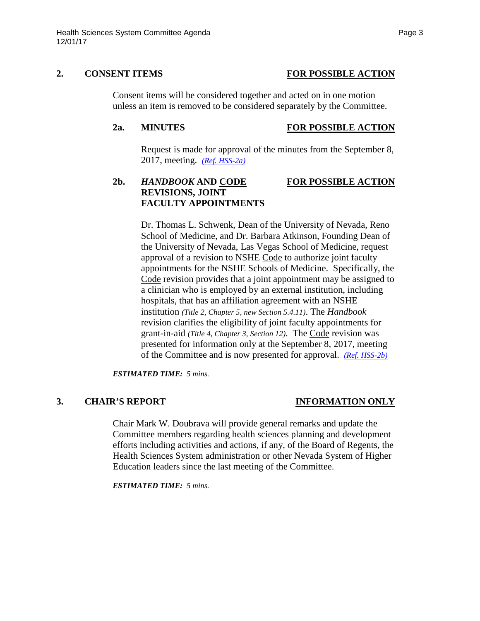### **2. CONSENT ITEMS FOR POSSIBLE ACTION**

Consent items will be considered together and acted on in one motion unless an item is removed to be considered separately by the Committee.

### **2a. MINUTES FOR POSSIBLE ACTION**

Request is made for approval of the minutes from the September 8, 2017, meeting. *[\(Ref. HSS-2a\)](https://nshe.nevada.edu/wp-content/uploads/file/BoardOfRegents/Agendas/2017/nov-mtgs/hss-ref/HSS-2a.pdf)*

# **2b.** *HANDBOOK* **AND CODE FOR POSSIBLE ACTION REVISIONS, JOINT FACULTY APPOINTMENTS**

Dr. Thomas L. Schwenk, Dean of the University of Nevada, Reno School of Medicine, and Dr. Barbara Atkinson, Founding Dean of the University of Nevada, Las Vegas School of Medicine, request approval of a revision to NSHE Code to authorize joint faculty appointments for the NSHE Schools of Medicine. Specifically, the Code revision provides that a joint appointment may be assigned to a clinician who is employed by an external institution, including hospitals, that has an affiliation agreement with an NSHE institution *(Title 2, Chapter 5, new Section 5.4.11)*. The *Handbook*  revision clarifies the eligibility of joint faculty appointments for grant-in-aid *(Title 4, Chapter 3, Section 12)*. The Code revision was presented for information only at the September 8, 2017, meeting of the Committee and is now presented for approval. *[\(Ref. HSS-2b\)](https://nshe.nevada.edu/wp-content/uploads/file/BoardOfRegents/Agendas/2017/nov-mtgs/hss-ref/HSS-2b.pdf)* 

*ESTIMATED TIME: 5 mins.*

# **3. CHAIR'S REPORT INFORMATION ONLY**

Chair Mark W. Doubrava will provide general remarks and update the Committee members regarding health sciences planning and development efforts including activities and actions, if any, of the Board of Regents, the Health Sciences System administration or other Nevada System of Higher Education leaders since the last meeting of the Committee.

*ESTIMATED TIME: 5 mins.*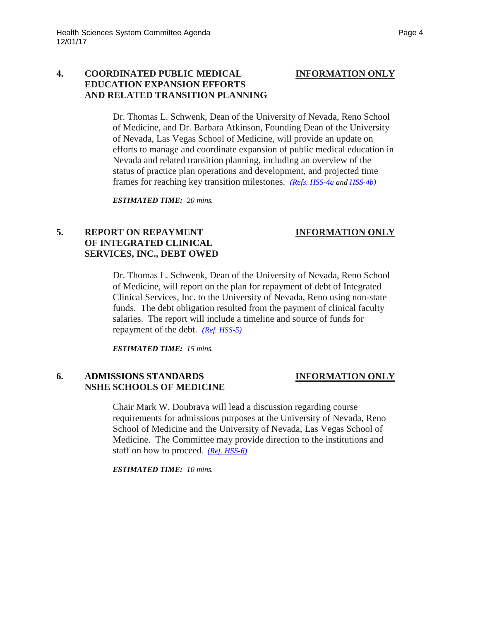### **4. COORDINATED PUBLIC MEDICAL INFORMATION ONLY EDUCATION EXPANSION EFFORTS AND RELATED TRANSITION PLANNING**

Dr. Thomas L. Schwenk, Dean of the University of Nevada, Reno School of Medicine, and Dr. Barbara Atkinson, Founding Dean of the University of Nevada, Las Vegas School of Medicine, will provide an update on efforts to manage and coordinate expansion of public medical education in Nevada and related transition planning, including an overview of the status of practice plan operations and development, and projected time frames for reaching key transition milestones. *[\(Refs. HSS-4a](https://nshe.nevada.edu/wp-content/uploads/file/BoardOfRegents/Agendas/2017/nov-mtgs/hss-ref/HSS-4a.pdf) and [HSS-4b\)](https://nshe.nevada.edu/wp-content/uploads/file/BoardOfRegents/Agendas/2017/nov-mtgs/hss-ref/HSS-4b.pdf)*

*ESTIMATED TIME: 20 mins.*

# **5. REPORT ON REPAYMENT INFORMATION ONLY OF INTEGRATED CLINICAL SERVICES, INC., DEBT OWED**

Dr. Thomas L. Schwenk, Dean of the University of Nevada, Reno School of Medicine, will report on the plan for repayment of debt of Integrated Clinical Services, Inc. to the University of Nevada, Reno using non-state funds. The debt obligation resulted from the payment of clinical faculty salaries. The report will include a timeline and source of funds for repayment of the debt. *[\(Ref. HSS-5\)](https://nshe.nevada.edu/wp-content/uploads/file/BoardOfRegents/Agendas/2017/nov-mtgs/hss-ref/HSS-5.pdf)*

*ESTIMATED TIME: 15 mins.*

# **6. ADMISSIONS STANDARDS INFORMATION ONLY NSHE SCHOOLS OF MEDICINE**

Chair Mark W. Doubrava will lead a discussion regarding course requirements for admissions purposes at the University of Nevada, Reno School of Medicine and the University of Nevada, Las Vegas School of Medicine. The Committee may provide direction to the institutions and staff on how to proceed*. [\(Ref. HSS-6\)](https://nshe.nevada.edu/wp-content/uploads/file/BoardOfRegents/Agendas/2017/nov-mtgs/hss-ref/HSS-6.pdf)*

*ESTIMATED TIME: 10 mins.*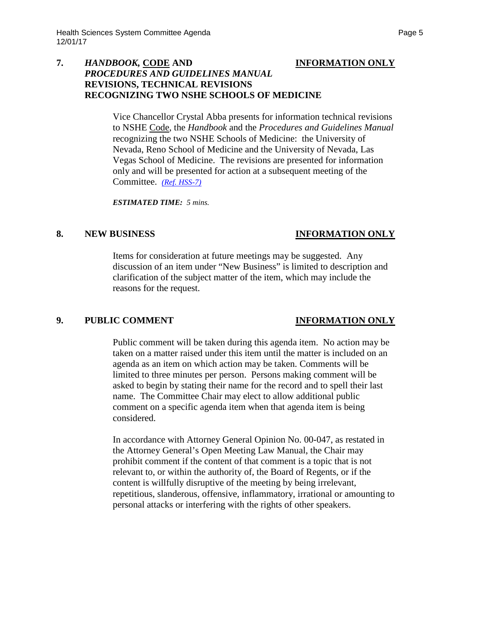### **7.** *HANDBOOK,* **CODE AND INFORMATION ONLY** *PROCEDURES AND GUIDELINES MANUAL*  **REVISIONS, TECHNICAL REVISIONS RECOGNIZING TWO NSHE SCHOOLS OF MEDICINE**

Vice Chancellor Crystal Abba presents for information technical revisions to NSHE Code, the *Handbook* and the *Procedures and Guidelines Manual*  recognizing the two NSHE Schools of Medicine: the University of Nevada, Reno School of Medicine and the University of Nevada, Las Vegas School of Medicine. The revisions are presented for information only and will be presented for action at a subsequent meeting of the Committee. *[\(Ref. HSS-7\)](https://nshe.nevada.edu/wp-content/uploads/file/BoardOfRegents/Agendas/2017/nov-mtgs/hss-ref/HSS-7.pdf)*

*ESTIMATED TIME: 5 mins.*

### **8. NEW BUSINESS INFORMATION ONLY**

Items for consideration at future meetings may be suggested. Any discussion of an item under "New Business" is limited to description and clarification of the subject matter of the item, which may include the reasons for the request.

### **9. PUBLIC COMMENT INFORMATION ONLY**

Public comment will be taken during this agenda item. No action may be taken on a matter raised under this item until the matter is included on an agenda as an item on which action may be taken. Comments will be limited to three minutes per person. Persons making comment will be asked to begin by stating their name for the record and to spell their last name. The Committee Chair may elect to allow additional public comment on a specific agenda item when that agenda item is being considered.

In accordance with Attorney General Opinion No. 00-047, as restated in the Attorney General's Open Meeting Law Manual, the Chair may prohibit comment if the content of that comment is a topic that is not relevant to, or within the authority of, the Board of Regents, or if the content is willfully disruptive of the meeting by being irrelevant, repetitious, slanderous, offensive, inflammatory, irrational or amounting to personal attacks or interfering with the rights of other speakers.